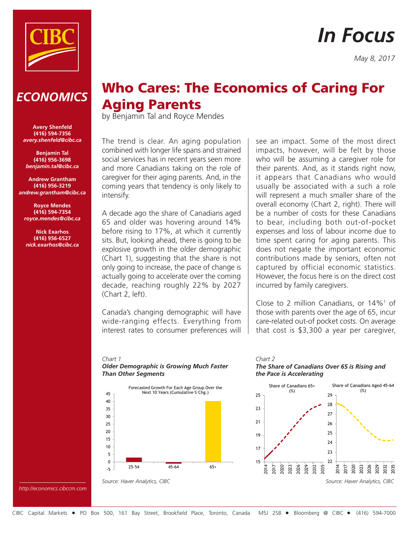

# *In Focus*

*May 8, 2017*

# *ECONOMICS*

**Avery Shenfeld (416) 594-7356** *avery.shenfeld@cibc.ca*

**Benjamin Tal (416) 956-3698** *benjamin.tal@cibc.ca*

**Andrew Grantham (416) 956-3219** *andrew.grantham@cibc.ca*

**Royce Mendes (416) 594-7354** *royce.mendes@cibc.ca*

**Nick Exarhos (416) 956-6527** *nick.exarhos@cibc.ca*

# Who Cares: The Economics of Caring For Aging Parents

by Benjamin Tal and Royce Mendes

The trend is clear. An aging population combined with longer life spans and strained social services has in recent years seen more and more Canadians taking on the role of caregiver for their aging parents. And, in the coming years that tendency is only likely to intensify.

A decade ago the share of Canadians aged 65 and older was hovering around 14% before rising to 17%, at which it currently sits. But, looking ahead, there is going to be explosive growth in the older demographic (Chart 1), suggesting that the share is not only going to increase, the pace of change is actually going to accelerate over the coming decade, reaching roughly 22% by 2027 (Chart 2, left).

Canada's changing demographic will have wide-ranging effects. Everything from interest rates to consumer preferences will see an impact. Some of the most direct impacts, however, will be felt by those who will be assuming a caregiver role for their parents. And, as it stands right now, it appears that Canadians who would usually be associated with a such a role will represent a much smaller share of the overall economy (Chart 2, right). There will be a number of costs for these Canadians to bear, including both out-of-pocket expenses and loss of labour income due to time spent caring for aging parents. This does not negate the important economic contributions made by seniors, often not captured by official economic statistics. However, the focus here is on the direct cost incurred by family caregivers.

Close to 2 million Canadians, or  $14\%$ <sup>1</sup> of those with parents over the age of 65, incur care-related out-of pocket costs. On average that cost is \$3,300 a year per caregiver,

# *Chart 1*

*Older Demographic is Growing Much Faster Than Other Segments*



*Source: Haver Analytics, CIBC*





*http://economics.cibccm.com*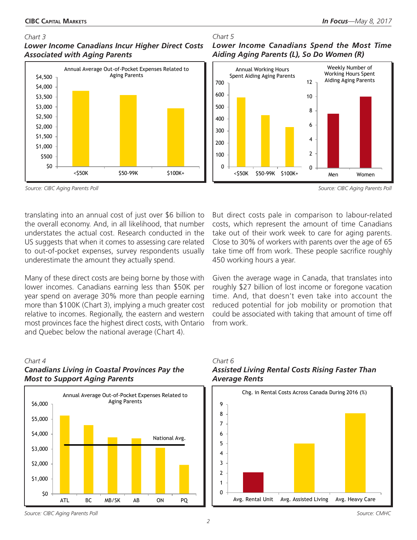### *Chart 3*

# *Lower Income Canadians Incur Higher Direct Costs Associated with Aging Parents*



#### *Source: CIBC Aging Parents Poll*

translating into an annual cost of just over \$6 billion to the overall economy. And, in all likelihood, that number understates the actual cost. Research conducted in the US suggests that when it comes to assessing care related to out-of-pocket expenses, survey respondents usually underestimate the amount they actually spend.

Many of these direct costs are being borne by those with lower incomes. Canadians earning less than \$50K per year spend on average 30% more than people earning more than \$100K (Chart 3), implying a much greater cost relative to incomes. Regionally, the eastern and western most provinces face the highest direct costs, with Ontario and Quebec below the national average (Chart 4).

# *Chart 4 Canadians Living in Coastal Provinces Pay the Most to Support Aging Parents*



# *Chart 5 Lower Income Canadians Spend the Most Time Aiding Aging Parents (L), So Do Women (R)*



*Source: CIBC Aging Parents Poll*

But direct costs pale in comparison to labour-related costs, which represent the amount of time Canadians take out of their work week to care for aging parents. Close to 30% of workers with parents over the age of 65 take time off from work. These people sacrifice roughly 450 working hours a year.

Given the average wage in Canada, that translates into roughly \$27 billion of lost income or foregone vacation time. And, that doesn't even take into account the reduced potential for job mobility or promotion that could be associated with taking that amount of time off from work.

# *Chart 6 Assisted Living Rental Costs Rising Faster Than Average Rents*



*Source: CIBC Aging Parents Poll*

*2*